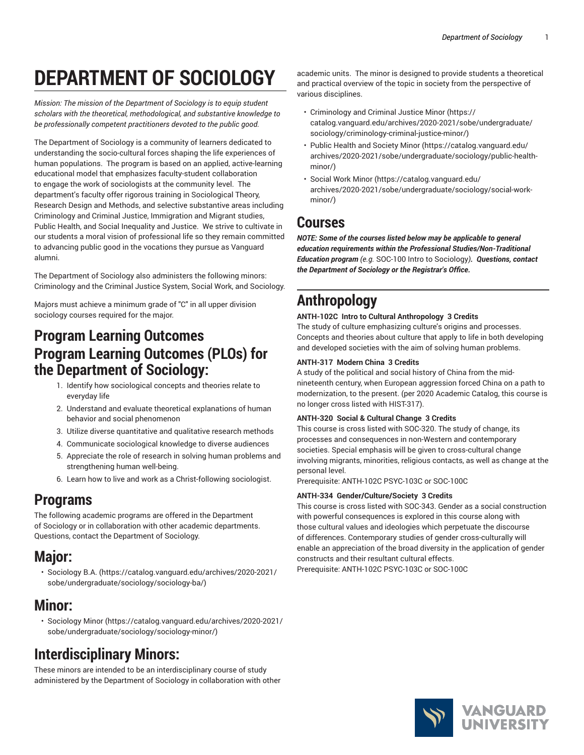# **DEPARTMENT OF SOCIOLOGY**

*Mission: The mission of the Department of Sociology is to equip student scholars with the theoretical, methodological, and substantive knowledge to be professionally competent practitioners devoted to the public good.*

The Department of Sociology is a community of learners dedicated to understanding the socio-cultural forces shaping the life experiences of human populations. The program is based on an applied, active-learning educational model that emphasizes faculty-student collaboration to engage the work of sociologists at the community level. The department's faculty offer rigorous training in Sociological Theory, Research Design and Methods, and selective substantive areas including Criminology and Criminal Justice, Immigration and Migrant studies, Public Health, and Social Inequality and Justice. We strive to cultivate in our students a moral vision of professional life so they remain committed to advancing public good in the vocations they pursue as Vanguard alumni.

The Department of Sociology also administers the following minors: Criminology and the Criminal Justice System, Social Work, and Sociology.

Majors must achieve a minimum grade of "C" in all upper division sociology courses required for the major.

# **Program Learning Outcomes Program Learning Outcomes (PLOs) for the Department of Sociology:**

- 1. Identify how sociological concepts and theories relate to everyday life
- 2. Understand and evaluate theoretical explanations of human behavior and social phenomenon
- 3. Utilize diverse quantitative and qualitative research methods
- 4. Communicate sociological knowledge to diverse audiences
- 5. Appreciate the role of research in solving human problems and strengthening human well-being.
- 6. Learn how to live and work as a Christ-following sociologist.

# **Programs**

The following academic programs are offered in the Department of Sociology or in collaboration with other academic departments. Questions, contact the Department of Sociology.

# **Major:**

• [Sociology B.A.](https://catalog.vanguard.edu/archives/2020-2021/sobe/undergraduate/sociology/sociology-ba/) ([https://catalog.vanguard.edu/archives/2020-2021/](https://catalog.vanguard.edu/archives/2020-2021/sobe/undergraduate/sociology/sociology-ba/) [sobe/undergraduate/sociology/sociology-ba/\)](https://catalog.vanguard.edu/archives/2020-2021/sobe/undergraduate/sociology/sociology-ba/)

# **Minor:**

• [Sociology Minor](https://catalog.vanguard.edu/archives/2020-2021/sobe/undergraduate/sociology/sociology-minor/) ([https://catalog.vanguard.edu/archives/2020-2021/](https://catalog.vanguard.edu/archives/2020-2021/sobe/undergraduate/sociology/sociology-minor/) [sobe/undergraduate/sociology/sociology-minor/\)](https://catalog.vanguard.edu/archives/2020-2021/sobe/undergraduate/sociology/sociology-minor/)

# **Interdisciplinary Minors:**

These minors are intended to be an interdisciplinary course of study administered by the Department of Sociology in collaboration with other

academic units. The minor is designed to provide students a theoretical and practical overview of the topic in society from the perspective of various disciplines.

- [Criminology and Criminal Justice Minor \(https://](https://catalog.vanguard.edu/archives/2020-2021/sobe/undergraduate/sociology/criminology-criminal-justice-minor/) [catalog.vanguard.edu/archives/2020-2021/sobe/undergraduate/](https://catalog.vanguard.edu/archives/2020-2021/sobe/undergraduate/sociology/criminology-criminal-justice-minor/) [sociology/criminology-criminal-justice-minor/](https://catalog.vanguard.edu/archives/2020-2021/sobe/undergraduate/sociology/criminology-criminal-justice-minor/))
- [Public Health and Society Minor \(https://catalog.vanguard.edu/](https://catalog.vanguard.edu/archives/2020-2021/sobe/undergraduate/sociology/public-health-minor/) [archives/2020-2021/sobe/undergraduate/sociology/public-health](https://catalog.vanguard.edu/archives/2020-2021/sobe/undergraduate/sociology/public-health-minor/)[minor/\)](https://catalog.vanguard.edu/archives/2020-2021/sobe/undergraduate/sociology/public-health-minor/)
- [Social](https://catalog.vanguard.edu/archives/2020-2021/sobe/undergraduate/sociology/social-work-minor/) Work Minor [\(https://catalog.vanguard.edu/](https://catalog.vanguard.edu/archives/2020-2021/sobe/undergraduate/sociology/social-work-minor/) [archives/2020-2021/sobe/undergraduate/sociology/social-work](https://catalog.vanguard.edu/archives/2020-2021/sobe/undergraduate/sociology/social-work-minor/)[minor/\)](https://catalog.vanguard.edu/archives/2020-2021/sobe/undergraduate/sociology/social-work-minor/)

### **Courses**

*NOTE: Some of the courses listed below may be applicable to general education requirements within the Professional Studies/Non-Traditional Education program (e.g.* SOC-100 Intro to Sociology*). Questions, contact the Department of Sociology or the Registrar's Office.*

# **Anthropology**

### **ANTH-102C Intro to Cultural Anthropology 3 Credits**

The study of culture emphasizing culture's origins and processes. Concepts and theories about culture that apply to life in both developing and developed societies with the aim of solving human problems.

### **ANTH-317 Modern China 3 Credits**

A study of the political and social history of China from the midnineteenth century, when European aggression forced China on a path to modernization, to the present. (per 2020 Academic Catalog, this course is no longer cross listed with HIST-317).

### **ANTH-320 Social & Cultural Change 3 Credits**

This course is cross listed with SOC-320. The study of change, its processes and consequences in non-Western and contemporary societies. Special emphasis will be given to cross-cultural change involving migrants, minorities, religious contacts, as well as change at the personal level.

Prerequisite: ANTH-102C PSYC-103C or SOC-100C

### **ANTH-334 Gender/Culture/Society 3 Credits**

This course is cross listed with SOC-343. Gender as a social construction with powerful consequences is explored in this course along with those cultural values and ideologies which perpetuate the discourse of differences. Contemporary studies of gender cross-culturally will enable an appreciation of the broad diversity in the application of gender constructs and their resultant cultural effects.

Prerequisite: ANTH-102C PSYC-103C or SOC-100C

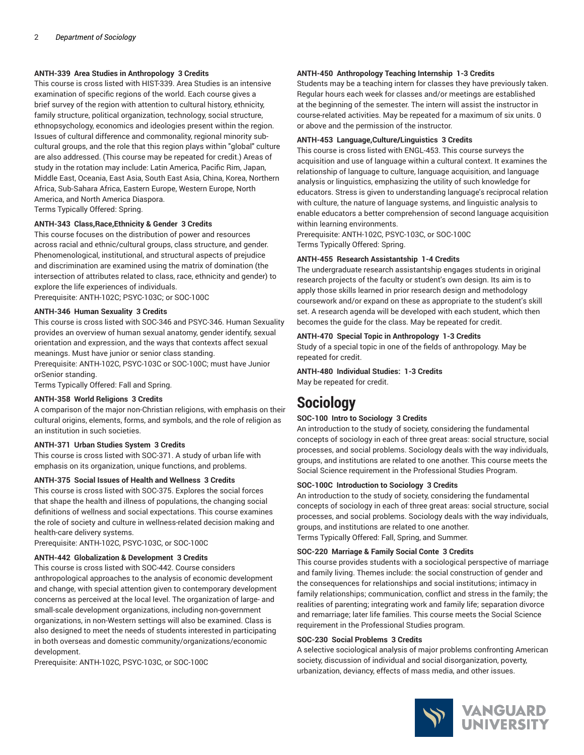#### **ANTH-339 Area Studies in Anthropology 3 Credits**

This course is cross listed with HIST-339. Area Studies is an intensive examination of specific regions of the world. Each course gives a brief survey of the region with attention to cultural history, ethnicity, family structure, political organization, technology, social structure, ethnopsychology, economics and ideologies present within the region. Issues of cultural difference and commonality, regional minority subcultural groups, and the role that this region plays within "global" culture are also addressed. (This course may be repeated for credit.) Areas of study in the rotation may include: Latin America, Pacific Rim, Japan, Middle East, Oceania, East Asia, South East Asia, China, Korea, Northern Africa, Sub-Sahara Africa, Eastern Europe, Western Europe, North America, and North America Diaspora.

Terms Typically Offered: Spring.

### **ANTH-343 Class,Race,Ethnicity & Gender 3 Credits**

This course focuses on the distribution of power and resources across racial and ethnic/cultural groups, class structure, and gender. Phenomenological, institutional, and structural aspects of prejudice and discrimination are examined using the matrix of domination (the intersection of attributes related to class, race, ethnicity and gender) to explore the life experiences of individuals. Prerequisite: ANTH-102C; PSYC-103C; or SOC-100C

**ANTH-346 Human Sexuality 3 Credits**

This course is cross listed with SOC-346 and PSYC-346. Human Sexuality provides an overview of human sexual anatomy, gender identify, sexual orientation and expression, and the ways that contexts affect sexual meanings. Must have junior or senior class standing.

Prerequisite: ANTH-102C, PSYC-103C or SOC-100C; must have Junior orSenior standing.

Terms Typically Offered: Fall and Spring.

#### **ANTH-358 World Religions 3 Credits**

A comparison of the major non-Christian religions, with emphasis on their cultural origins, elements, forms, and symbols, and the role of religion as an institution in such societies.

#### **ANTH-371 Urban Studies System 3 Credits**

This course is cross listed with SOC-371. A study of urban life with emphasis on its organization, unique functions, and problems.

#### **ANTH-375 Social Issues of Health and Wellness 3 Credits**

This course is cross listed with SOC-375. Explores the social forces that shape the health and illness of populations, the changing social definitions of wellness and social expectations. This course examines the role of society and culture in wellness-related decision making and health-care delivery systems.

Prerequisite: ANTH-102C, PSYC-103C, or SOC-100C

#### **ANTH-442 Globalization & Development 3 Credits**

This course is cross listed with SOC-442. Course considers anthropological approaches to the analysis of economic development and change, with special attention given to contemporary development concerns as perceived at the local level. The organization of large- and small-scale development organizations, including non-government organizations, in non-Western settings will also be examined. Class is also designed to meet the needs of students interested in participating in both overseas and domestic community/organizations/economic development.

Prerequisite: ANTH-102C, PSYC-103C, or SOC-100C

#### **ANTH-450 Anthropology Teaching Internship 1-3 Credits**

Students may be a teaching intern for classes they have previously taken. Regular hours each week for classes and/or meetings are established at the beginning of the semester. The intern will assist the instructor in course-related activities. May be repeated for a maximum of six units. 0 or above and the permission of the instructor.

#### **ANTH-453 Language,Culture/Linguistics 3 Credits**

This course is cross listed with ENGL-453. This course surveys the acquisition and use of language within a cultural context. It examines the relationship of language to culture, language acquisition, and language analysis or linguistics, emphasizing the utility of such knowledge for educators. Stress is given to understanding language's reciprocal relation with culture, the nature of language systems, and linguistic analysis to enable educators a better comprehension of second language acquisition within learning environments.

Prerequisite: ANTH-102C, PSYC-103C, or SOC-100C Terms Typically Offered: Spring.

#### **ANTH-455 Research Assistantship 1-4 Credits**

The undergraduate research assistantship engages students in original research projects of the faculty or student's own design. Its aim is to apply those skills learned in prior research design and methodology coursework and/or expand on these as appropriate to the student's skill set. A research agenda will be developed with each student, which then becomes the guide for the class. May be repeated for credit.

#### **ANTH-470 Special Topic in Anthropology 1-3 Credits**

Study of a special topic in one of the fields of anthropology. May be repeated for credit.

**ANTH-480 Individual Studies: 1-3 Credits**

May be repeated for credit.

### **Sociology**

#### **SOC-100 Intro to Sociology 3 Credits**

An introduction to the study of society, considering the fundamental concepts of sociology in each of three great areas: social structure, social processes, and social problems. Sociology deals with the way individuals, groups, and institutions are related to one another. This course meets the Social Science requirement in the Professional Studies Program.

#### **SOC-100C Introduction to Sociology 3 Credits**

An introduction to the study of society, considering the fundamental concepts of sociology in each of three great areas: social structure, social processes, and social problems. Sociology deals with the way individuals, groups, and institutions are related to one another.

Terms Typically Offered: Fall, Spring, and Summer.

#### **SOC-220 Marriage & Family Social Conte 3 Credits**

This course provides students with a sociological perspective of marriage and family living. Themes include: the social construction of gender and the consequences for relationships and social institutions; intimacy in family relationships; communication, conflict and stress in the family; the realities of parenting; integrating work and family life; separation divorce and remarriage; later life families. This course meets the Social Science requirement in the Professional Studies program.

#### **SOC-230 Social Problems 3 Credits**

A selective sociological analysis of major problems confronting American society, discussion of individual and social disorganization, poverty, urbanization, deviancy, effects of mass media, and other issues.

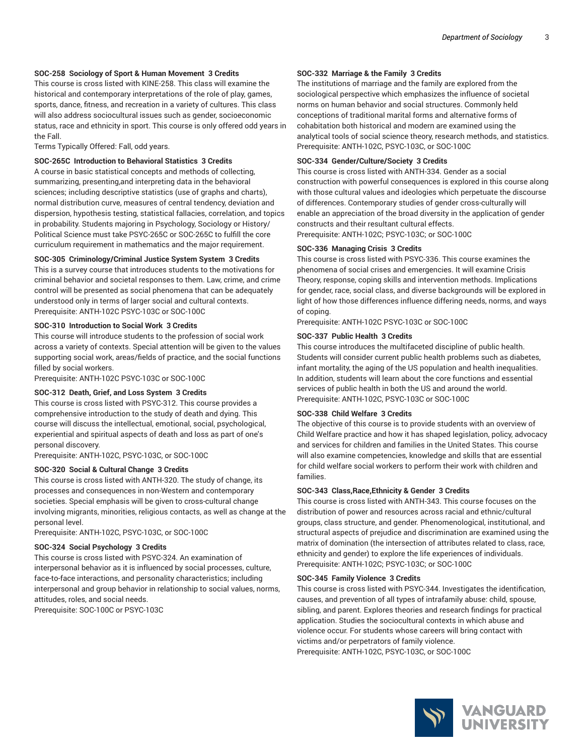#### **SOC-258 Sociology of Sport & Human Movement 3 Credits**

This course is cross listed with KINE-258. This class will examine the historical and contemporary interpretations of the role of play, games, sports, dance, fitness, and recreation in a variety of cultures. This class will also address sociocultural issues such as gender, socioeconomic status, race and ethnicity in sport. This course is only offered odd years in the Fall.

Terms Typically Offered: Fall, odd years.

#### **SOC-265C Introduction to Behavioral Statistics 3 Credits**

A course in basic statistical concepts and methods of collecting, summarizing, presenting,and interpreting data in the behavioral sciences; including descriptive statistics (use of graphs and charts), normal distribution curve, measures of central tendency, deviation and dispersion, hypothesis testing, statistical fallacies, correlation, and topics in probability. Students majoring in Psychology, Sociology or History/ Political Science must take PSYC-265C or SOC-265C to fulfill the core curriculum requirement in mathematics and the major requirement.

#### **SOC-305 Criminology/Criminal Justice System System 3 Credits**

This is a survey course that introduces students to the motivations for criminal behavior and societal responses to them. Law, crime, and crime control will be presented as social phenomena that can be adequately understood only in terms of larger social and cultural contexts. Prerequisite: ANTH-102C PSYC-103C or SOC-100C

#### **SOC-310 Introduction to Social Work 3 Credits**

This course will introduce students to the profession of social work across a variety of contexts. Special attention will be given to the values supporting social work, areas/fields of practice, and the social functions filled by social workers.

Prerequisite: ANTH-102C PSYC-103C or SOC-100C

#### **SOC-312 Death, Grief, and Loss System 3 Credits**

This course is cross listed with PSYC-312. This course provides a comprehensive introduction to the study of death and dying. This course will discuss the intellectual, emotional, social, psychological, experiential and spiritual aspects of death and loss as part of one's personal discovery.

Prerequisite: ANTH-102C, PSYC-103C, or SOC-100C

#### **SOC-320 Social & Cultural Change 3 Credits**

This course is cross listed with ANTH-320. The study of change, its processes and consequences in non-Western and contemporary societies. Special emphasis will be given to cross-cultural change involving migrants, minorities, religious contacts, as well as change at the personal level.

Prerequisite: ANTH-102C, PSYC-103C, or SOC-100C

### **SOC-324 Social Psychology 3 Credits**

This course is cross listed with PSYC-324. An examination of interpersonal behavior as it is influenced by social processes, culture, face-to-face interactions, and personality characteristics; including interpersonal and group behavior in relationship to social values, norms, attitudes, roles, and social needs.

Prerequisite: SOC-100C or PSYC-103C

#### **SOC-332 Marriage & the Family 3 Credits**

The institutions of marriage and the family are explored from the sociological perspective which emphasizes the influence of societal norms on human behavior and social structures. Commonly held conceptions of traditional marital forms and alternative forms of cohabitation both historical and modern are examined using the analytical tools of social science theory, research methods, and statistics. Prerequisite: ANTH-102C, PSYC-103C, or SOC-100C

#### **SOC-334 Gender/Culture/Society 3 Credits**

This course is cross listed with ANTH-334. Gender as a social construction with powerful consequences is explored in this course along with those cultural values and ideologies which perpetuate the discourse of differences. Contemporary studies of gender cross-culturally will enable an appreciation of the broad diversity in the application of gender constructs and their resultant cultural effects. Prerequisite: ANTH-102C; PSYC-103C; or SOC-100C

#### **SOC-336 Managing Crisis 3 Credits**

This course is cross listed with PSYC-336. This course examines the phenomena of social crises and emergencies. It will examine Crisis Theory, response, coping skills and intervention methods. Implications for gender, race, social class, and diverse backgrounds will be explored in light of how those differences influence differing needs, norms, and ways of coping.

Prerequisite: ANTH-102C PSYC-103C or SOC-100C

#### **SOC-337 Public Health 3 Credits**

This course introduces the multifaceted discipline of public health. Students will consider current public health problems such as diabetes, infant mortality, the aging of the US population and health inequalities. In addition, students will learn about the core functions and essential services of public health in both the US and around the world. Prerequisite: ANTH-102C, PSYC-103C or SOC-100C

#### **SOC-338 Child Welfare 3 Credits**

The objective of this course is to provide students with an overview of Child Welfare practice and how it has shaped legislation, policy, advocacy and services for children and families in the United States. This course will also examine competencies, knowledge and skills that are essential for child welfare social workers to perform their work with children and families.

#### **SOC-343 Class,Race,Ethnicity & Gender 3 Credits**

This course is cross listed with ANTH-343. This course focuses on the distribution of power and resources across racial and ethnic/cultural groups, class structure, and gender. Phenomenological, institutional, and structural aspects of prejudice and discrimination are examined using the matrix of domination (the intersection of attributes related to class, race, ethnicity and gender) to explore the life experiences of individuals. Prerequisite: ANTH-102C; PSYC-103C; or SOC-100C

#### **SOC-345 Family Violence 3 Credits**

This course is cross listed with PSYC-344. Investigates the identification, causes, and prevention of all types of intrafamily abuse: child, spouse, sibling, and parent. Explores theories and research findings for practical application. Studies the sociocultural contexts in which abuse and violence occur. For students whose careers will bring contact with victims and/or perpetrators of family violence. Prerequisite: ANTH-102C, PSYC-103C, or SOC-100C

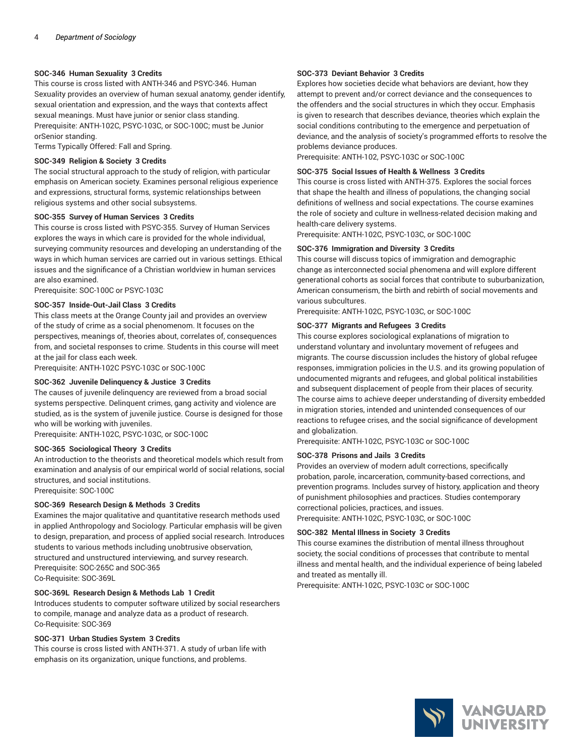#### **SOC-346 Human Sexuality 3 Credits**

This course is cross listed with ANTH-346 and PSYC-346. Human Sexuality provides an overview of human sexual anatomy, gender identify, sexual orientation and expression, and the ways that contexts affect sexual meanings. Must have junior or senior class standing. Prerequisite: ANTH-102C, PSYC-103C, or SOC-100C; must be Junior orSenior standing.

Terms Typically Offered: Fall and Spring.

#### **SOC-349 Religion & Society 3 Credits**

The social structural approach to the study of religion, with particular emphasis on American society. Examines personal religious experience and expressions, structural forms, systemic relationships between religious systems and other social subsystems.

#### **SOC-355 Survey of Human Services 3 Credits**

This course is cross listed with PSYC-355. Survey of Human Services explores the ways in which care is provided for the whole individual, surveying community resources and developing an understanding of the ways in which human services are carried out in various settings. Ethical issues and the significance of a Christian worldview in human services are also examined.

Prerequisite: SOC-100C or PSYC-103C

#### **SOC-357 Inside-Out-Jail Class 3 Credits**

This class meets at the Orange County jail and provides an overview of the study of crime as a social phenomenom. It focuses on the perspectives, meanings of, theories about, correlates of, consequences from, and societal responses to crime. Students in this course will meet at the jail for class each week.

Prerequisite: ANTH-102C PSYC-103C or SOC-100C

#### **SOC-362 Juvenile Delinquency & Justice 3 Credits**

The causes of juvenile delinquency are reviewed from a broad social systems perspective. Delinquent crimes, gang activity and violence are studied, as is the system of juvenile justice. Course is designed for those who will be working with juveniles.

Prerequisite: ANTH-102C, PSYC-103C, or SOC-100C

#### **SOC-365 Sociological Theory 3 Credits**

An introduction to the theorists and theoretical models which result from examination and analysis of our empirical world of social relations, social structures, and social institutions. Prerequisite: SOC-100C

**SOC-369 Research Design & Methods 3 Credits**

Examines the major qualitative and quantitative research methods used in applied Anthropology and Sociology. Particular emphasis will be given to design, preparation, and process of applied social research. Introduces students to various methods including unobtrusive observation, structured and unstructured interviewing, and survey research. Prerequisite: SOC-265C and SOC-365 Co-Requisite: SOC-369L

#### **SOC-369L Research Design & Methods Lab 1 Credit**

Introduces students to computer software utilized by social researchers to compile, manage and analyze data as a product of research. Co-Requisite: SOC-369

#### **SOC-371 Urban Studies System 3 Credits**

This course is cross listed with ANTH-371. A study of urban life with emphasis on its organization, unique functions, and problems.

#### **SOC-373 Deviant Behavior 3 Credits**

Explores how societies decide what behaviors are deviant, how they attempt to prevent and/or correct deviance and the consequences to the offenders and the social structures in which they occur. Emphasis is given to research that describes deviance, theories which explain the social conditions contributing to the emergence and perpetuation of deviance, and the analysis of society's programmed efforts to resolve the problems deviance produces.

Prerequisite: ANTH-102, PSYC-103C or SOC-100C

#### **SOC-375 Social Issues of Health & Wellness 3 Credits**

This course is cross listed with ANTH-375. Explores the social forces that shape the health and illness of populations, the changing social definitions of wellness and social expectations. The course examines the role of society and culture in wellness-related decision making and health-care delivery systems.

Prerequisite: ANTH-102C, PSYC-103C, or SOC-100C

#### **SOC-376 Immigration and Diversity 3 Credits**

This course will discuss topics of immigration and demographic change as interconnected social phenomena and will explore different generational cohorts as social forces that contribute to suburbanization, American consumerism, the birth and rebirth of social movements and various subcultures.

Prerequisite: ANTH-102C, PSYC-103C, or SOC-100C

#### **SOC-377 Migrants and Refugees 3 Credits**

This course explores sociological explanations of migration to understand voluntary and involuntary movement of refugees and migrants. The course discussion includes the history of global refugee responses, immigration policies in the U.S. and its growing population of undocumented migrants and refugees, and global political instabilities and subsequent displacement of people from their places of security. The course aims to achieve deeper understanding of diversity embedded in migration stories, intended and unintended consequences of our reactions to refugee crises, and the social significance of development and globalization.

Prerequisite: ANTH-102C, PSYC-103C or SOC-100C

#### **SOC-378 Prisons and Jails 3 Credits**

Provides an overview of modern adult corrections, specifically probation, parole, incarceration, community-based corrections, and prevention programs. Includes survey of history, application and theory of punishment philosophies and practices. Studies contemporary correctional policies, practices, and issues. Prerequisite: ANTH-102C, PSYC-103C, or SOC-100C

**SOC-382 Mental Illness in Society 3 Credits**

This course examines the distribution of mental illness throughout society, the social conditions of processes that contribute to mental illness and mental health, and the individual experience of being labeled and treated as mentally ill.

Prerequisite: ANTH-102C, PSYC-103C or SOC-100C